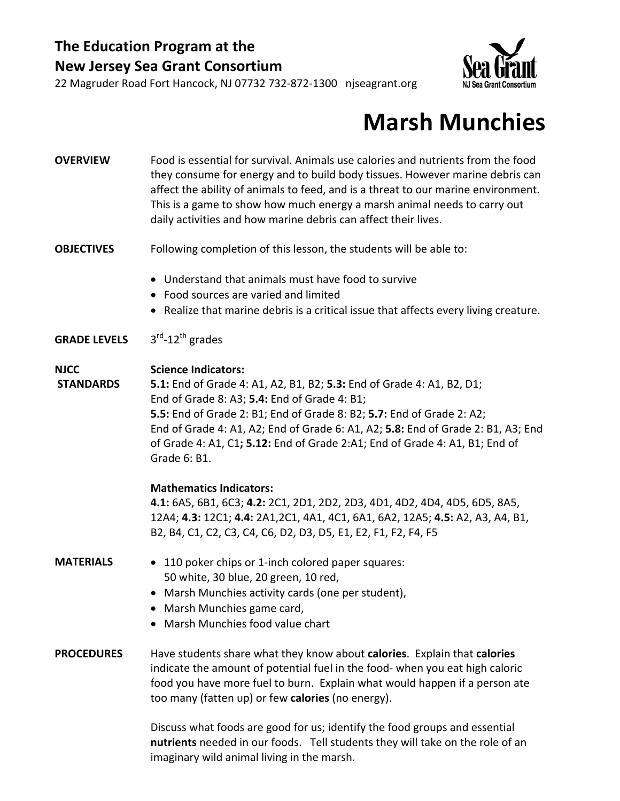



## **Marsh Munchies**

**OVERVIEW** Food is essential for survival. Animals use calories and nutrients from the food they consume for energy and to build body tissues. However marine debris can affect the ability of animals to feed, and is a threat to our marine environment. This is a game to show how much energy a marsh animal needs to carry out daily activities and how marine debris can affect their lives.

#### **OBJECTIVES** Following completion of this lesson, the students will be able to:

- Understand that animals must have food to survive
- Food sources are varied and limited
- Realize that marine debris is a critical issue that affects every living creature.

#### **GRADE LEVELS** 3rd‐12th grades

#### **NJCC Science Indicators:**

**STANDARDS 5.1:** End of Grade 4: A1, A2, B1, B2; **5.3:** End of Grade 4: A1, B2, D1; End of Grade 8: A3; **5.4:** End of Grade 4: B1; **5.5:** End of Grade 2: B1; End of Grade 8: B2; **5.7:** End of Grade 2: A2; End of Grade 4: A1, A2; End of Grade 6: A1, A2; **5.8:** End of Grade 2: B1, A3; End of Grade 4: A1, C1**; 5.12:** End of Grade 2:A1; End of Grade 4: A1, B1; End of Grade 6: B1.

#### **Mathematics Indicators:**

**4.1:** 6A5, 6B1, 6C3; **4.2:** 2C1, 2D1, 2D2, 2D3, 4D1, 4D2, 4D4, 4D5, 6D5, 8A5, 12A4; **4.3:** 12C1; **4.4:** 2A1,2C1, 4A1, 4C1, 6A1, 6A2, 12A5; **4.5:** A2, A3, A4, B1, B2, B4, C1, C2, C3, C4, C6, D2, D3, D5, E1, E2, F1, F2, F4, F5

#### **MATERIALS** • 110 poker chips or 1‐inch colored paper squares: 50 white, 30 blue, 20 green, 10 red,

- Marsh Munchies activity cards (one per student),
- Marsh Munchies game card,
- Marsh Munchies food value chart

#### **PROCEDURES** Have students share what they know about **calories**. Explain that **calories** indicate the amount of potential fuel in the food‐ when you eat high caloric food you have more fuel to burn. Explain what would happen if a person ate too many (fatten up) or few **calories** (no energy).

Discuss what foods are good for us; identify the food groups and essential **nutrients** needed in our foods. Tell students they will take on the role of an imaginary wild animal living in the marsh.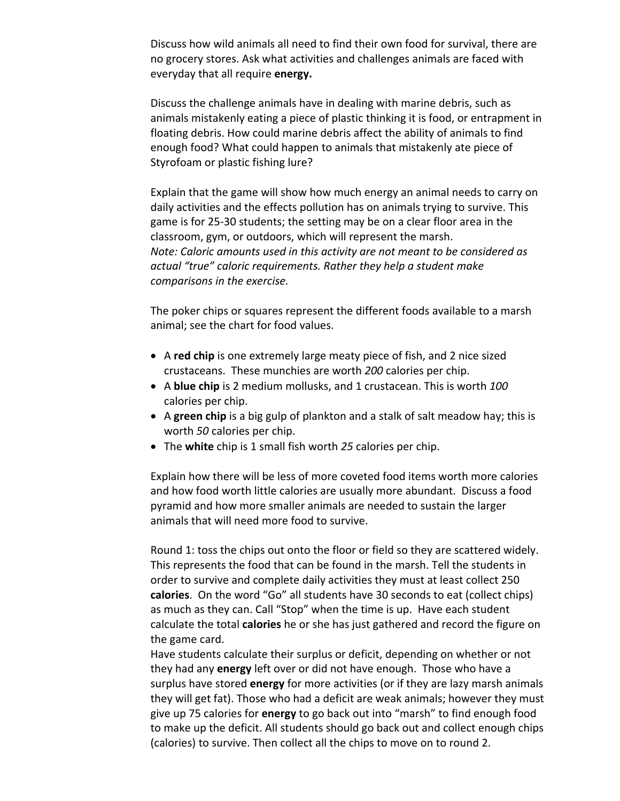Discuss how wild animals all need to find their own food for survival, there are no grocery stores. Ask what activities and challenges animals are faced with everyday that all require **energy.**

Discuss the challenge animals have in dealing with marine debris, such as animals mistakenly eating a piece of plastic thinking it is food, or entrapment in floating debris. How could marine debris affect the ability of animals to find enough food? What could happen to animals that mistakenly ate piece of Styrofoam or plastic fishing lure?

Explain that the game will show how much energy an animal needs to carry on daily activities and the effects pollution has on animals trying to survive. This game is for 25‐30 students; the setting may be on a clear floor area in the classroom, gym, or outdoors, which will represent the marsh. *Note: Caloric amounts used in this activity are not meant to be considered as actual "true" caloric requirements. Rather they help a student make comparisons in the exercise.* 

The poker chips or squares represent the different foods available to a marsh animal; see the chart for food values.

- A **red chip** is one extremely large meaty piece of fish, and 2 nice sized crustaceans. These munchies are worth *200* calories per chip.
- A **blue chip** is 2 medium mollusks, and 1 crustacean. This is worth *100* calories per chip.
- A **green chip** is a big gulp of plankton and a stalk of salt meadow hay; this is worth *50* calories per chip.
- The **white** chip is 1 small fish worth *25* calories per chip.

Explain how there will be less of more coveted food items worth more calories and how food worth little calories are usually more abundant. Discuss a food pyramid and how more smaller animals are needed to sustain the larger animals that will need more food to survive.

Round 1: toss the chips out onto the floor or field so they are scattered widely. This represents the food that can be found in the marsh. Tell the students in order to survive and complete daily activities they must at least collect 250 **calories**. On the word "Go" all students have 30 seconds to eat (collect chips) as much as they can. Call "Stop" when the time is up. Have each student calculate the total **calories** he or she has just gathered and record the figure on the game card.

Have students calculate their surplus or deficit, depending on whether or not they had any **energy** left over or did not have enough. Those who have a surplus have stored **energy** for more activities (or if they are lazy marsh animals they will get fat). Those who had a deficit are weak animals; however they must give up 75 calories for **energy** to go back out into "marsh" to find enough food to make up the deficit. All students should go back out and collect enough chips (calories) to survive. Then collect all the chips to move on to round 2.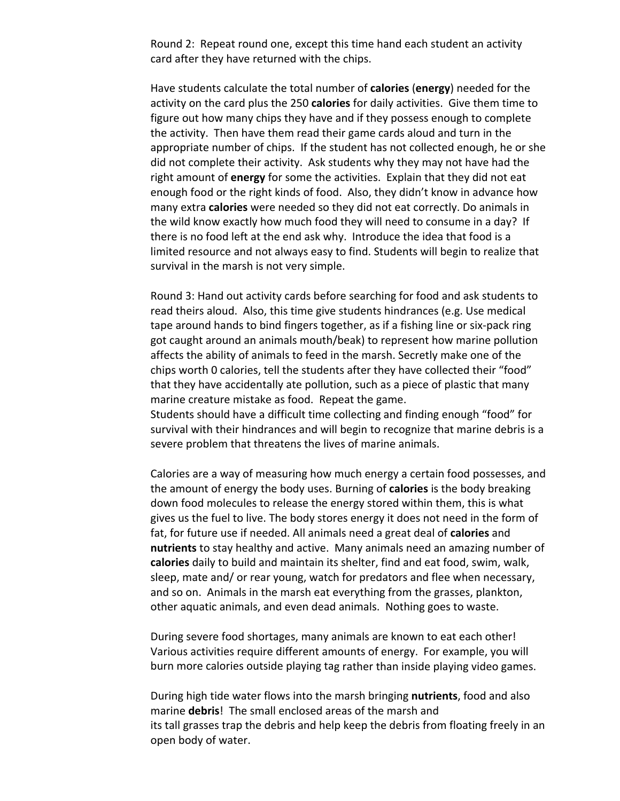Round 2: Repeat round one, except this time hand each student an activity card after they have returned with the chips.

Have students calculate the total number of **calories** (**energy**) needed for the activity on the card plus the 250 **calories** for daily activities. Give them time to figure out how many chips they have and if they possess enough to complete the activity. Then have them read their game cards aloud and turn in the appropriate number of chips. If the student has not collected enough, he or she did not complete their activity. Ask students why they may not have had the right amount of **energy** for some the activities. Explain that they did not eat enough food or the right kinds of food. Also, they didn't know in advance how many extra **calories** were needed so they did not eat correctly. Do animals in the wild know exactly how much food they will need to consume in a day? If there is no food left at the end ask why. Introduce the idea that food is a limited resource and not always easy to find. Students will begin to realize that survival in the marsh is not very simple.

Round 3: Hand out activity cards before searching for food and ask students to read theirs aloud. Also, this time give students hindrances (e.g. Use medical tape around hands to bind fingers together, as if a fishing line or six‐pack ring got caught around an animals mouth/beak) to represent how marine pollution affects the ability of animals to feed in the marsh. Secretly make one of the chips worth 0 calories, tell the students after they have collected their "food" that they have accidentally ate pollution, such as a piece of plastic that many marine creature mistake as food. Repeat the game.

Students should have a difficult time collecting and finding enough "food" for survival with their hindrances and will begin to recognize that marine debris is a severe problem that threatens the lives of marine animals.

Calories are a way of measuring how much energy a certain food possesses, and the amount of energy the body uses. Burning of **calories** is the body breaking down food molecules to release the energy stored within them, this is what gives us the fuel to live. The body stores energy it does not need in the form of fat, for future use if needed. All animals need a great deal of **calories** and **nutrients** to stay healthy and active. Many animals need an amazing number of **calories** daily to build and maintain its shelter, find and eat food, swim, walk, sleep, mate and/ or rear young, watch for predators and flee when necessary, and so on. Animals in the marsh eat everything from the grasses, plankton, other aquatic animals, and even dead animals. Nothing goes to waste.

During severe food shortages, many animals are known to eat each other! Various activities require different amounts of energy. For example, you will burn more calories outside playing tag rather than inside playing video games.

During high tide water flows into the marsh bringing **nutrients**, food and also marine **debris**! The small enclosed areas of the marsh and its tall grasses trap the debris and help keep the debris from floating freely in an open body of water.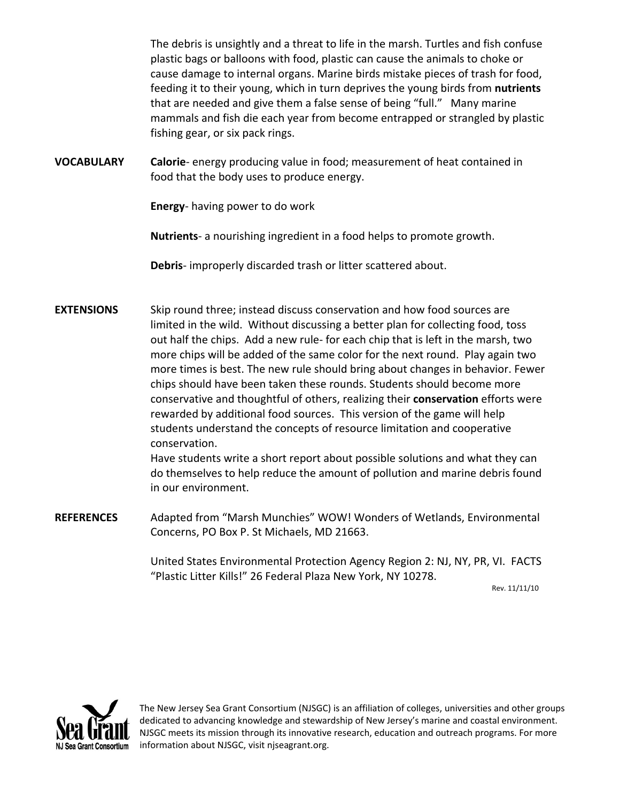The debris is unsightly and a threat to life in the marsh. Turtles and fish confuse plastic bags or balloons with food, plastic can cause the animals to choke or cause damage to internal organs. Marine birds mistake pieces of trash for food, feeding it to their young, which in turn deprives the young birds from **nutrients** that are needed and give them a false sense of being "full." Many marine mammals and fish die each year from become entrapped or strangled by plastic fishing gear, or six pack rings.

**VOCABULARY Calorie**‐ energy producing value in food; measurement of heat contained in food that the body uses to produce energy.

**Energy**‐ having power to do work

**Nutrients**‐ a nourishing ingredient in a food helps to promote growth.

**Debris**‐ improperly discarded trash or litter scattered about.

**EXTENSIONS** Skip round three; instead discuss conservation and how food sources are limited in the wild. Without discussing a better plan for collecting food, toss out half the chips. Add a new rule‐ for each chip that is left in the marsh, two more chips will be added of the same color for the next round. Play again two more times is best. The new rule should bring about changes in behavior. Fewer chips should have been taken these rounds. Students should become more conservative and thoughtful of others, realizing their **conservation** efforts were rewarded by additional food sources. This version of the game will help students understand the concepts of resource limitation and cooperative conservation.

Have students write a short report about possible solutions and what they can do themselves to help reduce the amount of pollution and marine debris found in our environment.

**REFERENCES** Adapted from "Marsh Munchies" WOW! Wonders of Wetlands, Environmental Concerns, PO Box P. St Michaels, MD 21663.

> United States Environmental Protection Agency Region 2: NJ, NY, PR, VI. FACTS "Plastic Litter Kills!" 26 Federal Plaza New York, NY 10278.

> > Rev. 11/11/10



The New Jersey Sea Grant Consortium (NJSGC) is an affiliation of colleges, universities and other groups dedicated to advancing knowledge and stewardship of New Jersey's marine and coastal environment. NJSGC meets its mission through its innovative research, education and outreach programs. For more information about NJSGC, visit njseagrant.org.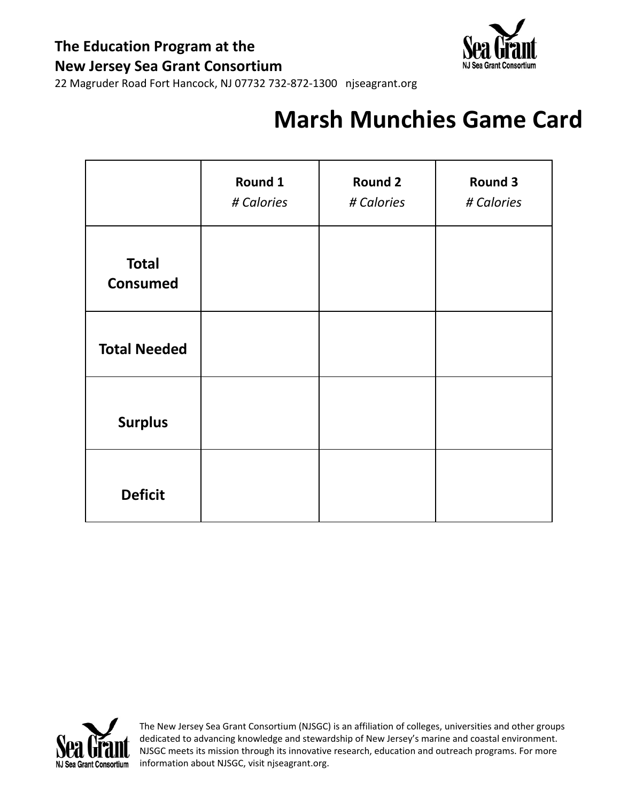

22 Magruder Road Fort Hancock, NJ 07732 732‐872‐1300 njseagrant.org

## **Marsh Munchies Game Card**

|                                 | Round 1<br># Calories | <b>Round 2</b><br># Calories | <b>Round 3</b><br># Calories |
|---------------------------------|-----------------------|------------------------------|------------------------------|
| <b>Total</b><br><b>Consumed</b> |                       |                              |                              |
| <b>Total Needed</b>             |                       |                              |                              |
| <b>Surplus</b>                  |                       |                              |                              |
| <b>Deficit</b>                  |                       |                              |                              |



The New Jersey Sea Grant Consortium (NJSGC) is an affiliation of colleges, universities and other groups dedicated to advancing knowledge and stewardship of New Jersey's marine and coastal environment. NJSGC meets its mission through its innovative research, education and outreach programs. For more information about NJSGC, visit njseagrant.org.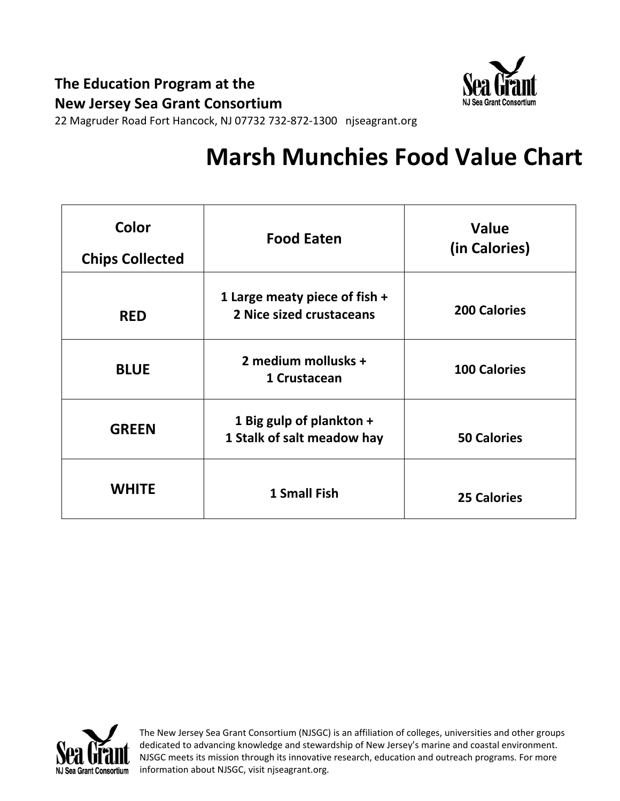

22 Magruder Road Fort Hancock, NJ 07732 732‐872‐1300 njseagrant.org

# **Marsh Munchies Food Value Chart**

| Color<br><b>Chips Collected</b> | <b>Food Eaten</b>                                         | Value<br>(in Calories) |
|---------------------------------|-----------------------------------------------------------|------------------------|
| <b>RED</b>                      | 1 Large meaty piece of fish +<br>2 Nice sized crustaceans | <b>200 Calories</b>    |
| <b>BLUE</b>                     | 2 medium mollusks +<br>1 Crustacean                       | <b>100 Calories</b>    |
| <b>GREEN</b>                    | 1 Big gulp of plankton +<br>1 Stalk of salt meadow hay    | <b>50 Calories</b>     |
| <b>WHITE</b>                    | <b>1 Small Fish</b>                                       | <b>25 Calories</b>     |



The New Jersey Sea Grant Consortium (NJSGC) is an affiliation of colleges, universities and other groups dedicated to advancing knowledge and stewardship of New Jersey's marine and coastal environment. NJSGC meets its mission through its innovative research, education and outreach programs. For more information about NJSGC, visit njseagrant.org.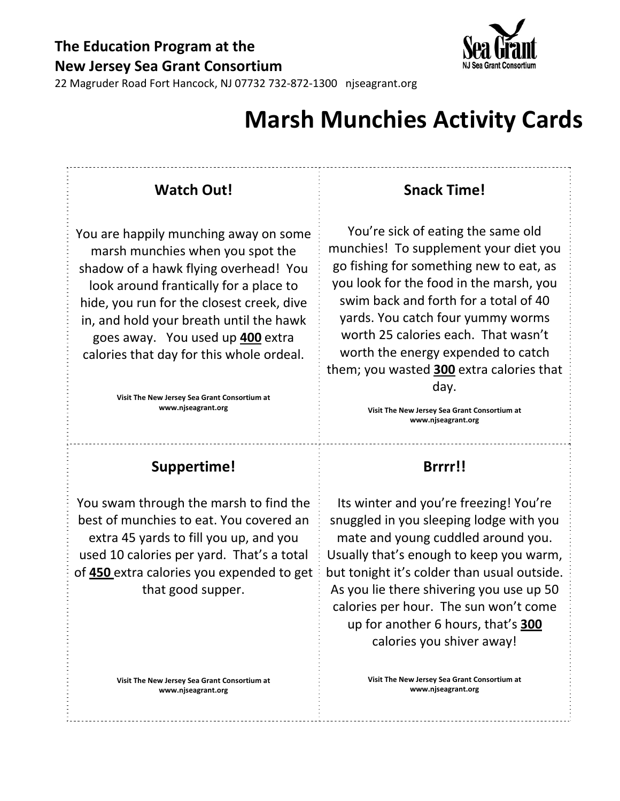

## **Marsh Munchies Activity Cards**

### **Watch Out!**

You are happily munching away on some marsh munchies when you spot the shadow of a hawk flying overhead! You look around frantically for a place to hide, you run for the closest creek, dive in, and hold your breath until the hawk goes away. You used up **400** extra calories that day for this whole ordeal.

> **Visit The New Jersey Sea Grant Consortium at www.njseagrant.org**

### **Snack Time!**

You're sick of eating the same old munchies! To supplement your diet you go fishing for something new to eat, as you look for the food in the marsh, you swim back and forth for a total of 40 yards. You catch four yummy worms worth 25 calories each. That wasn't worth the energy expended to catch them; you wasted **300** extra calories that day.

> **Visit The New Jersey Sea Grant Consortium at www.njseagrant.org**

#### **Suppertime!**

You swam through the marsh to find the best of munchies to eat. You covered an extra 45 yards to fill you up, and you used 10 calories per yard. That's a total of **450** extra calories you expended to get that good supper.

> **Visit The New Jersey Sea Grant Consortium at www.njseagrant.org**

### **Brrrr!!**

Its winter and you're freezing! You're snuggled in you sleeping lodge with you mate and young cuddled around you. Usually that's enough to keep you warm, but tonight it's colder than usual outside. As you lie there shivering you use up 50 calories per hour. The sun won't come up for another 6 hours, that's **300** calories you shiver away!

> **Visit The New Jersey Sea Grant Consortium at www.njseagrant.org**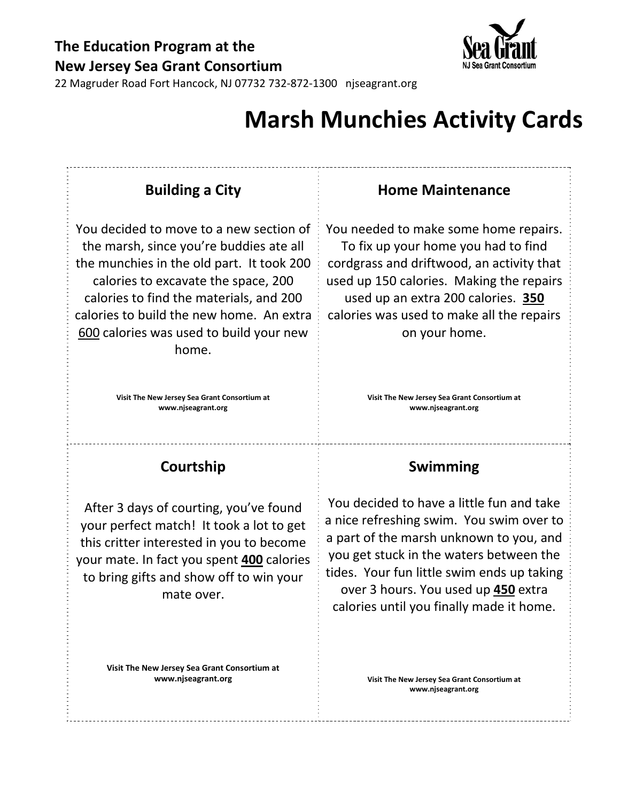

22 Magruder Road Fort Hancock, NJ 07732 732‐872‐1300 njseagrant.org

## **Marsh Munchies Activity Cards**

| <b>Building a City</b>                                                                                                                                                                                                                                                                                            | <b>Home Maintenance</b>                                                                                                                                                                                                                                                                                             |  |
|-------------------------------------------------------------------------------------------------------------------------------------------------------------------------------------------------------------------------------------------------------------------------------------------------------------------|---------------------------------------------------------------------------------------------------------------------------------------------------------------------------------------------------------------------------------------------------------------------------------------------------------------------|--|
| You decided to move to a new section of<br>the marsh, since you're buddies ate all<br>the munchies in the old part. It took 200<br>calories to excavate the space, 200<br>calories to find the materials, and 200<br>calories to build the new home. An extra<br>600 calories was used to build your new<br>home. | You needed to make some home repairs.<br>To fix up your home you had to find<br>cordgrass and driftwood, an activity that<br>used up 150 calories. Making the repairs<br>used up an extra 200 calories. 350<br>calories was used to make all the repairs<br>on your home.                                           |  |
| Visit The New Jersey Sea Grant Consortium at<br>www.njseagrant.org                                                                                                                                                                                                                                                | Visit The New Jersey Sea Grant Consortium at<br>www.njseagrant.org                                                                                                                                                                                                                                                  |  |
| Courtship                                                                                                                                                                                                                                                                                                         | Swimming                                                                                                                                                                                                                                                                                                            |  |
| After 3 days of courting, you've found<br>your perfect match! It took a lot to get<br>this critter interested in you to become<br>your mate. In fact you spent 400 calories<br>to bring gifts and show off to win your<br>mate over.                                                                              | You decided to have a little fun and take<br>a nice refreshing swim. You swim over to<br>a part of the marsh unknown to you, and<br>you get stuck in the waters between the<br>tides. Your fun little swim ends up taking<br>over 3 hours. You used up <b>450</b> extra<br>calories until you finally made it home. |  |

**Visit The New Jersey Sea Grant Consortium at www.njseagrant.org**

**Visit The New Jersey Sea Grant Consortium at www.njseagrant.org**